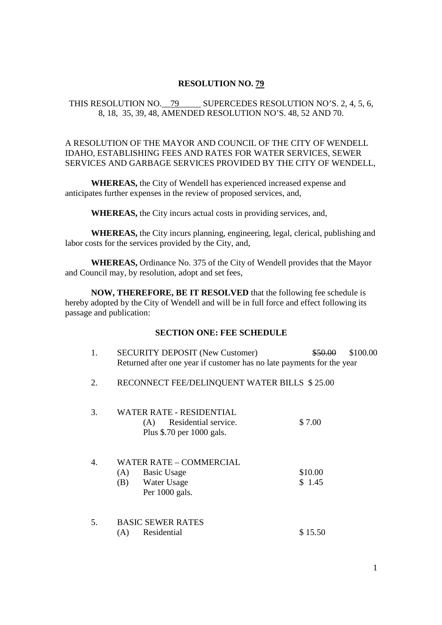#### **RESOLUTION NO. 79**

# THIS RESOLUTION NO. 79 SUPERCEDES RESOLUTION NO'S. 2, 4, 5, 6, 8, 18, 35, 39, 48, AMENDED RESOLUTION NO'S. 48, 52 AND 70.

# A RESOLUTION OF THE MAYOR AND COUNCIL OF THE CITY OF WENDELL IDAHO, ESTABLISHING FEES AND RATES FOR WATER SERVICES, SEWER SERVICES AND GARBAGE SERVICES PROVIDED BY THE CITY OF WENDELL,

**WHEREAS,** the City of Wendell has experienced increased expense and anticipates further expenses in the review of proposed services, and,

**WHEREAS,** the City incurs actual costs in providing services, and,

**WHEREAS,** the City incurs planning, engineering, legal, clerical, publishing and labor costs for the services provided by the City, and,

**WHEREAS,** Ordinance No. 375 of the City of Wendell provides that the Mayor and Council may, by resolution, adopt and set fees,

**NOW, THEREFORE, BE IT RESOLVED** that the following fee schedule is hereby adopted by the City of Wendell and will be in full force and effect following its passage and publication:

# **SECTION ONE: FEE SCHEDULE**

| 1. | <b>SECURITY DEPOSIT (New Customer)</b>                                                              | \$50.00           | \$100.00 |
|----|-----------------------------------------------------------------------------------------------------|-------------------|----------|
|    | Returned after one year if customer has no late payments for the year                               |                   |          |
| 2. | RECONNECT FEE/DELINQUENT WATER BILLS \$25.00                                                        |                   |          |
| 3. | WATER RATE - RESIDENTIAL<br>Residential service.<br>(A)<br>Plus \$.70 per 1000 gals.                | \$7.00            |          |
| 4. | <b>WATER RATE - COMMERCIAL</b><br><b>Basic Usage</b><br>(A)<br>Water Usage<br>(B)<br>Per 1000 gals. | \$10.00<br>\$1.45 |          |
| 5. | <b>BASIC SEWER RATES</b><br>Residential<br>(A)                                                      | \$15.50           |          |